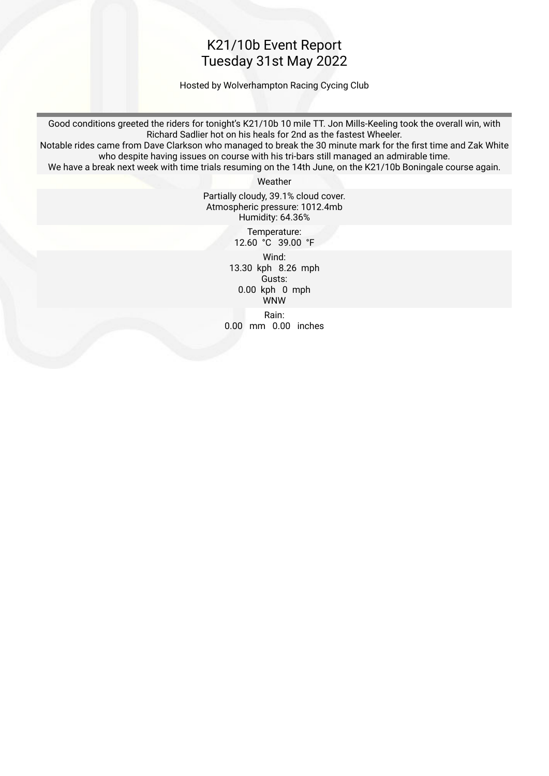#### K21/10b Event Report Tuesday 31st May 2022

Hosted by Wolverhampton Racing Cycing Club

Good conditions greeted the riders for tonight's K21/10b 10 mile TT. Jon Mills-Keeling took the overall win, with Richard Sadlier hot on his heals for 2nd as the fastest Wheeler.

Notable rides came from Dave Clarkson who managed to break the 30 minute mark for the frst time and Zak White who despite having issues on course with his tri-bars still managed an admirable time.

We have a break next week with time trials resuming on the 14th June, on the K21/10b Boningale course again.

Weather

Partially cloudy, 39.1% cloud cover. Atmospheric pressure: 1012.4mb Humidity: 64.36%

> Temperature: 12.60 °C 39.00 °F

 Wind: 13.30 kph 8.26 mph Gusts: 0.00 kph 0 mph WNW Rain: 0.00 mm 0.00 inches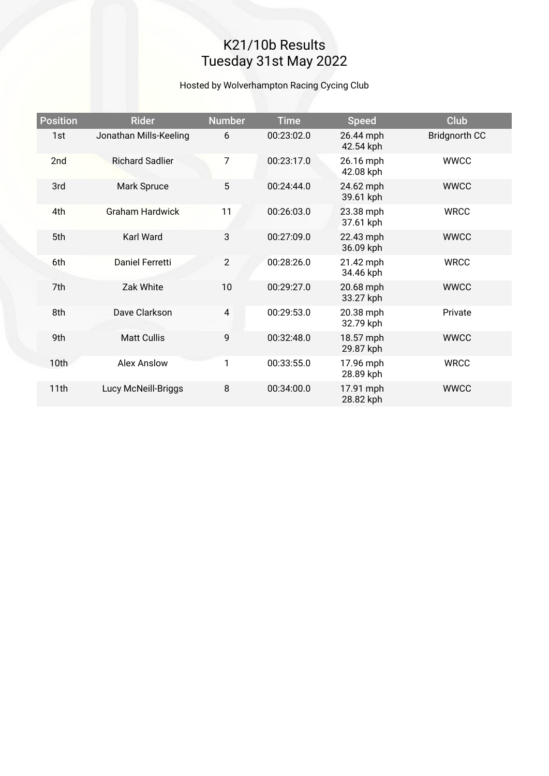# K21/10b Results Tuesday 31st May 2022

#### Hosted by Wolverhampton Racing Cycing Club

| <b>Position</b>  | <b>Rider</b>           | <b>Number</b>  | <b>Time</b> | <b>Speed</b>           | <b>Club</b>          |
|------------------|------------------------|----------------|-------------|------------------------|----------------------|
| 1st              | Jonathan Mills-Keeling | 6              | 00:23:02.0  | 26.44 mph<br>42.54 kph | <b>Bridgnorth CC</b> |
| 2nd              | <b>Richard Sadlier</b> | $\overline{7}$ | 00:23:17.0  | 26.16 mph<br>42.08 kph | <b>WWCC</b>          |
| 3rd              | Mark Spruce            | 5              | 00:24:44.0  | 24.62 mph<br>39.61 kph | <b>WWCC</b>          |
| 4th              | <b>Graham Hardwick</b> | 11             | 00:26:03.0  | 23.38 mph<br>37.61 kph | <b>WRCC</b>          |
| 5th              | <b>Karl Ward</b>       | 3              | 00:27:09.0  | 22.43 mph<br>36.09 kph | <b>WWCC</b>          |
| 6th              | <b>Daniel Ferretti</b> | 2              | 00:28:26.0  | 21.42 mph<br>34.46 kph | <b>WRCC</b>          |
| 7th              | Zak White              | 10             | 00:29:27.0  | 20.68 mph<br>33.27 kph | <b>WWCC</b>          |
| 8th              | Dave Clarkson          | 4              | 00:29:53.0  | 20.38 mph<br>32.79 kph | Private              |
| 9th              | <b>Matt Cullis</b>     | 9              | 00:32:48.0  | 18.57 mph<br>29.87 kph | <b>WWCC</b>          |
| 10 <sub>th</sub> | <b>Alex Anslow</b>     | 1              | 00:33:55.0  | 17.96 mph<br>28.89 kph | <b>WRCC</b>          |
| 11th             | Lucy McNeill-Briggs    | 8              | 00:34:00.0  | 17.91 mph<br>28.82 kph | <b>WWCC</b>          |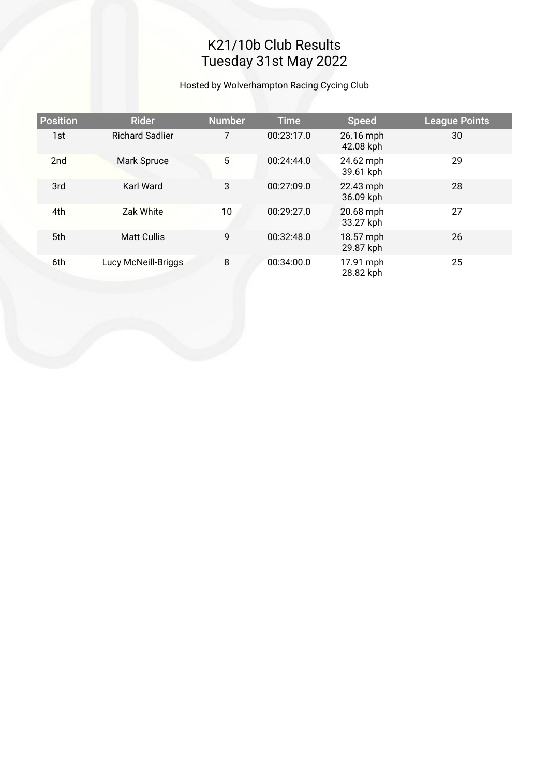# K21/10b Club Results Tuesday 31st May 2022

Hosted by Wolverhampton Racing Cycing Club

| <b>Position</b> | <b>Rider</b>           | <b>Number</b> | <b>Time</b> | <b>Speed</b>           | <b>League Points</b> |
|-----------------|------------------------|---------------|-------------|------------------------|----------------------|
| 1st             | <b>Richard Sadlier</b> | 7             | 00:23:17.0  | 26.16 mph<br>42.08 kph | 30                   |
| 2nd             | Mark Spruce            | 5             | 00:24:44.0  | 24.62 mph<br>39.61 kph | 29                   |
| 3rd             | Karl Ward              | 3             | 00:27:09.0  | 22.43 mph<br>36.09 kph | 28                   |
| 4th             | Zak White              | 10            | 00:29:27.0  | 20.68 mph<br>33.27 kph | 27                   |
| 5th             | <b>Matt Cullis</b>     | 9             | 00:32:48.0  | 18.57 mph<br>29.87 kph | 26                   |
| 6th             | Lucy McNeill-Briggs    | 8             | 00:34:00.0  | 17.91 mph<br>28.82 kph | 25                   |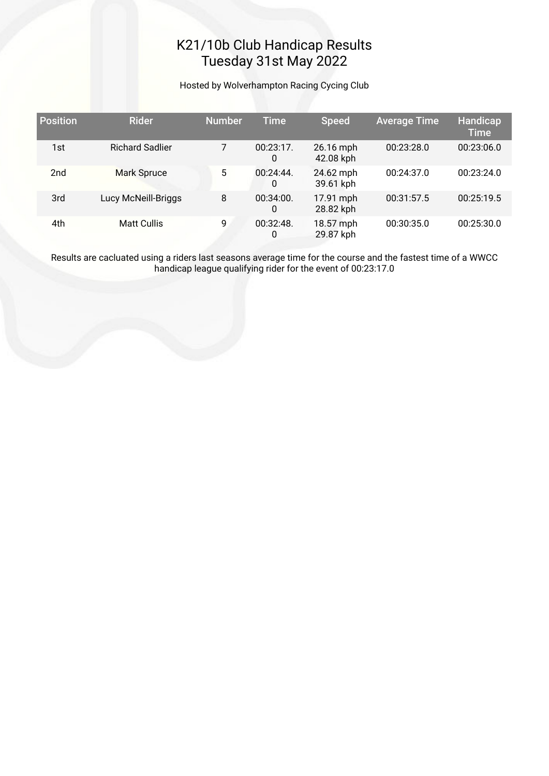## K21/10b Club Handicap Results Tuesday 31st May 2022

Hosted by Wolverhampton Racing Cycing Club

| <b>Position</b> | <b>Rider</b>           | <b>Number</b> | <b>Time</b>       | <b>Speed</b>           | <b>Average Time</b> | Handicap<br><b>Time</b> |
|-----------------|------------------------|---------------|-------------------|------------------------|---------------------|-------------------------|
| 1st             | <b>Richard Sadlier</b> |               | $00:23:17$ .<br>0 | 26.16 mph<br>42.08 kph | 00:23:28.0          | 00:23:06.0              |
| 2 <sub>nd</sub> | <b>Mark Spruce</b>     | 5             | 00:24:44.<br>0    | 24.62 mph<br>39.61 kph | 00:24:37.0          | 00:23:24.0              |
| 3rd             | Lucy McNeill-Briggs    | 8             | 00:34:00.<br>0    | 17.91 mph<br>28.82 kph | 00:31:57.5          | 00:25:19.5              |
| 4th             | <b>Matt Cullis</b>     | 9             | 00:32:48<br>0     | 18.57 mph<br>29.87 kph | 00:30:35.0          | 00:25:30.0              |

Results are cacluated using a riders last seasons average time for the course and the fastest time of a WWCC handicap league qualifying rider for the event of 00:23:17.0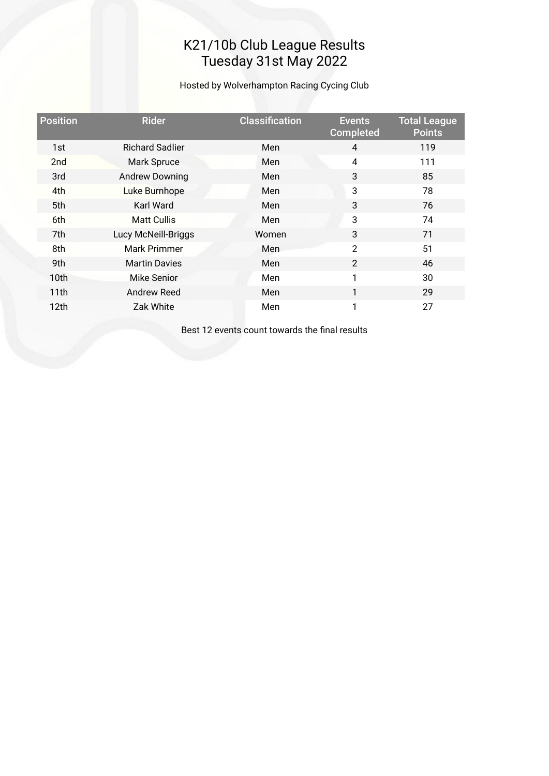## K21/10b Club League Results Tuesday 31st May 2022

Hosted by Wolverhampton Racing Cycing Club

| <b>Position</b> | <b>Rider</b>           | <b>Classification</b> | <b>Events</b><br><b>Completed</b> | <b>Total League</b><br><b>Points</b> |
|-----------------|------------------------|-----------------------|-----------------------------------|--------------------------------------|
| 1st             | <b>Richard Sadlier</b> | Men                   | $\overline{4}$                    | 119                                  |
| 2 <sub>nd</sub> | <b>Mark Spruce</b>     | Men                   | $\overline{4}$                    | 111                                  |
| 3rd             | <b>Andrew Downing</b>  | Men                   | 3                                 | 85                                   |
| 4th             | Luke Burnhope          | Men                   | 3                                 | 78                                   |
| 5th             | Karl Ward              | Men                   | 3                                 | 76                                   |
| 6th             | <b>Matt Cullis</b>     | Men                   | 3                                 | 74                                   |
| 7th             | Lucy McNeill-Briggs    | Women                 | 3                                 | 71                                   |
| 8th             | Mark Primmer           | Men                   | $\overline{2}$                    | 51                                   |
| 9th             | <b>Martin Davies</b>   | Men                   | $\overline{2}$                    | 46                                   |
| 10th            | Mike Senior            | Men                   | 1                                 | 30                                   |
| 11th            | Andrew Reed            | Men                   | 1                                 | 29                                   |
| 12th            | Zak White              | Men                   | 1                                 | 27                                   |
|                 |                        |                       |                                   |                                      |

Best 12 events count towards the fnal results